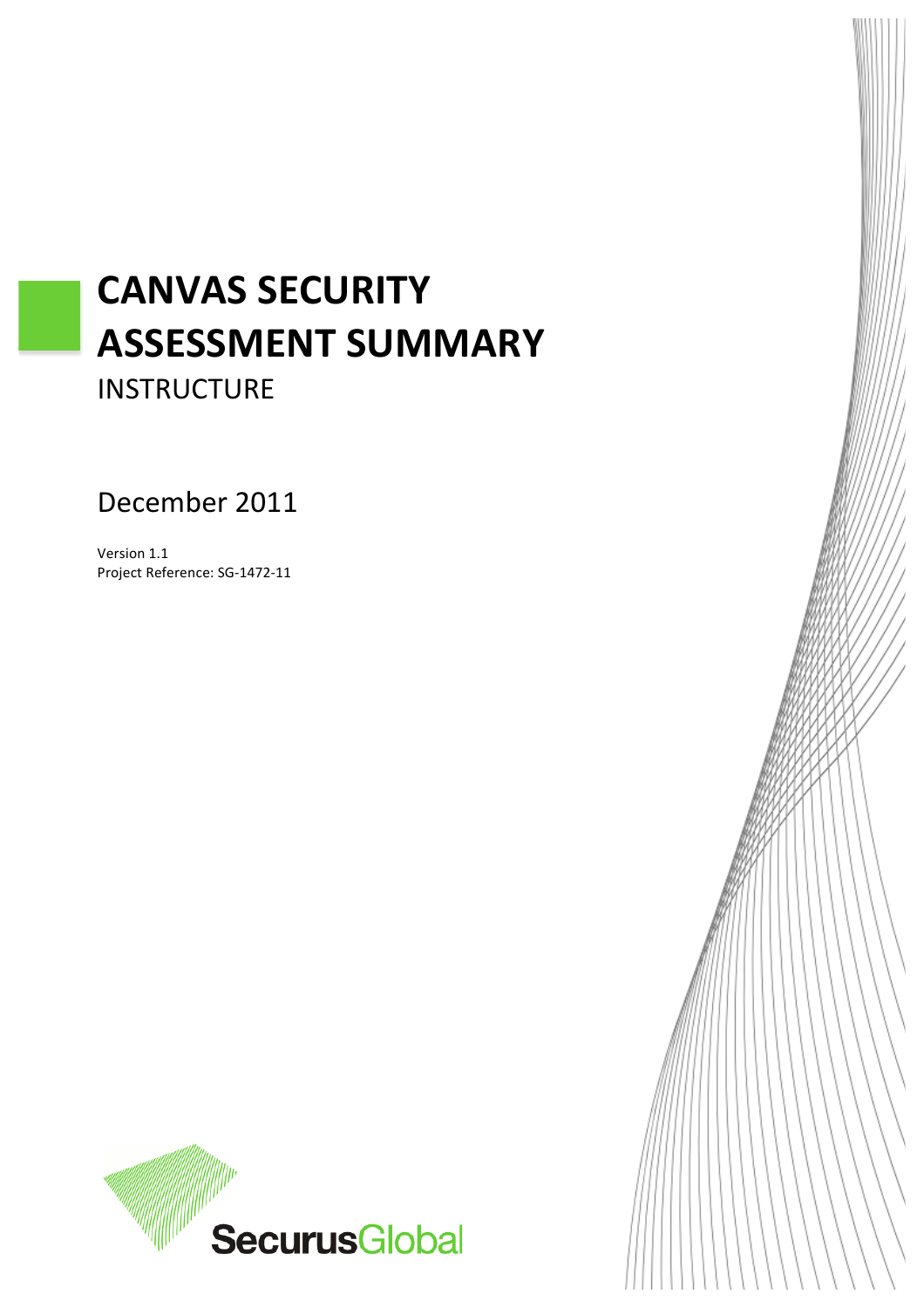# **CANVAS SECURITY ASSESSMENT SUMMARY&**

**INSTRUCTURE** 

December 2011

Version 1.1 Project Reference: SG-1472-11



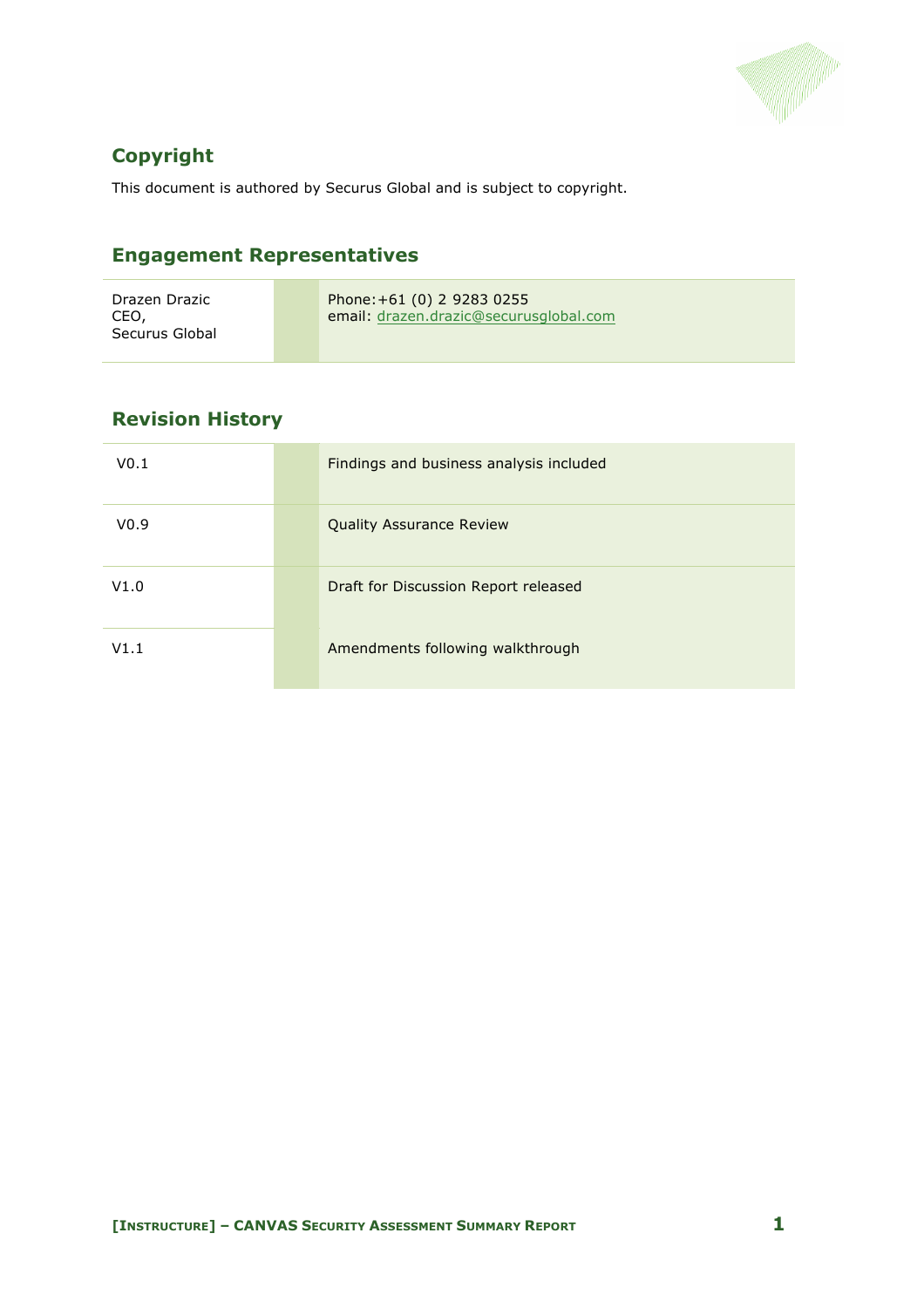

## **Copyright**

This document is authored by Securus Global and is subject to copyright.

## **Engagement Representatives**

| Drazen Drazic<br>CEO.<br>Securus Global | Phone: +61 (0) 2 9283 0255<br>email: drazen.drazic@securusglobal.com |
|-----------------------------------------|----------------------------------------------------------------------|
|-----------------------------------------|----------------------------------------------------------------------|

## **Revision History**

| V <sub>0.1</sub> | Findings and business analysis included |
|------------------|-----------------------------------------|
| V <sub>0.9</sub> | <b>Quality Assurance Review</b>         |
| V1.0             | Draft for Discussion Report released    |
| V1.1             | Amendments following walkthrough        |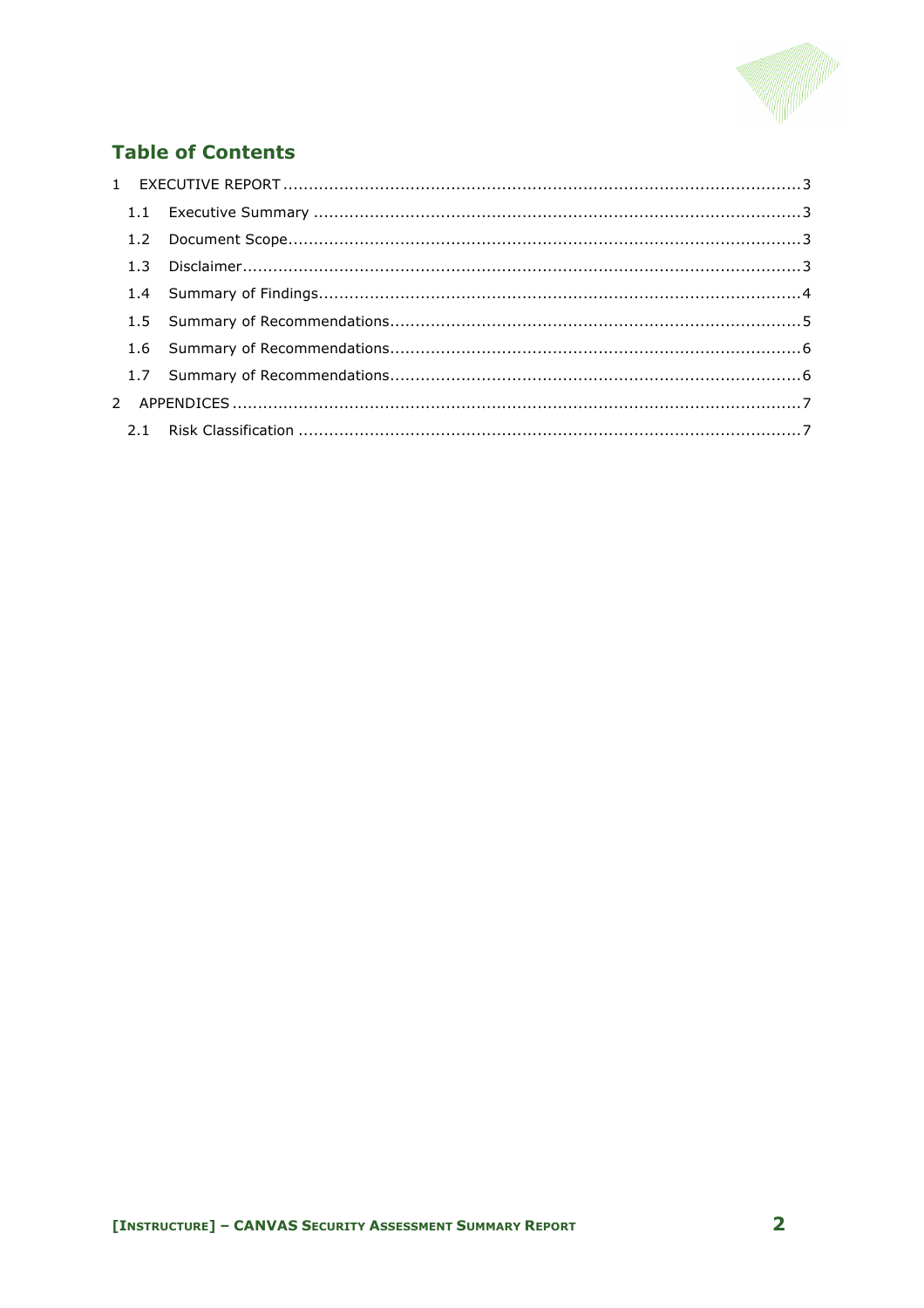

## **Table of Contents**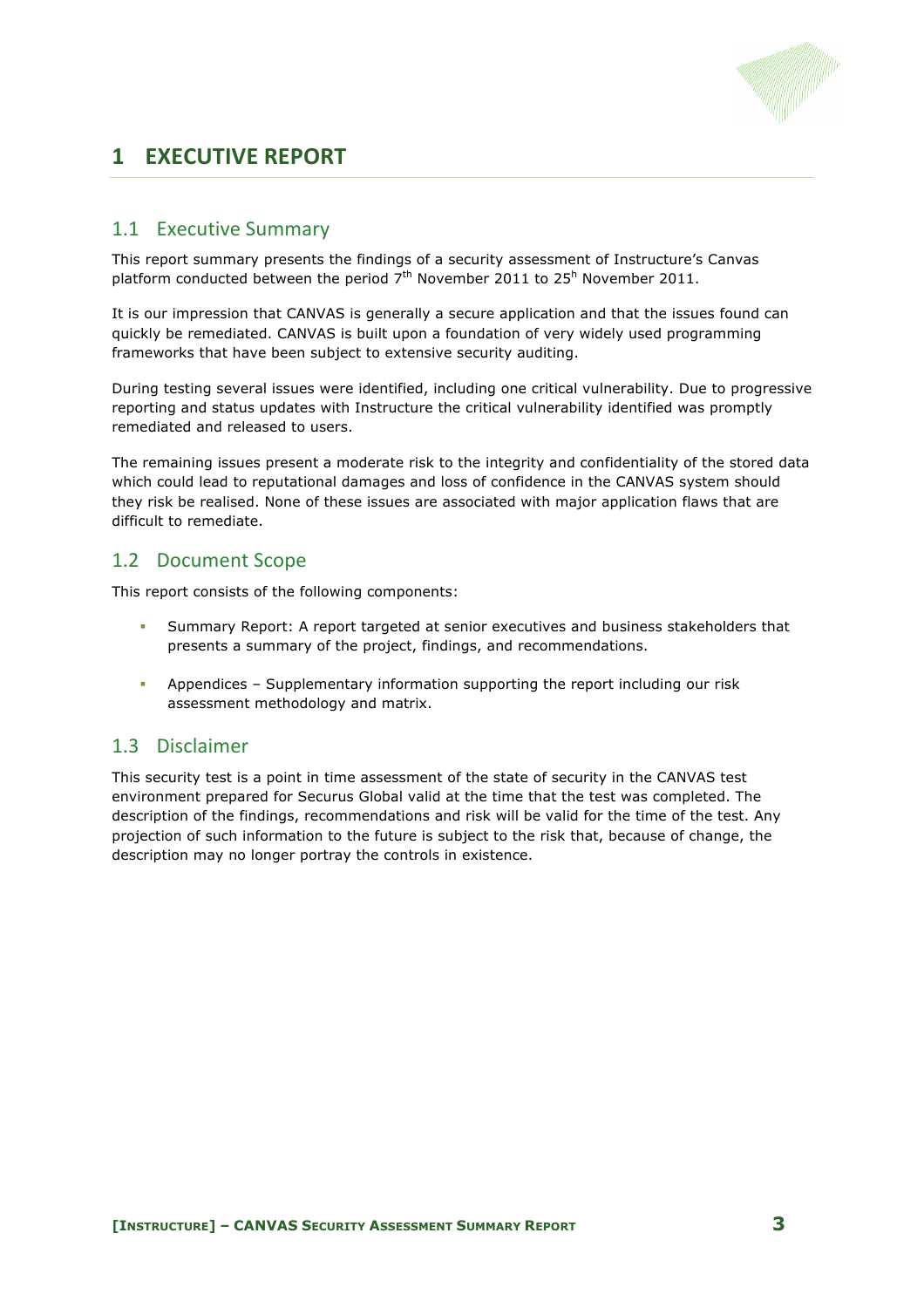

## **1 EXECUTIVE REPORT**

#### 1.1 Executive Summary

This report summary presents the findings of a security assessment of Instructure's Canvas platform conducted between the period  $7<sup>th</sup>$  November 2011 to 25<sup>h</sup> November 2011.

It is our impression that CANVAS is generally a secure application and that the issues found can quickly be remediated. CANVAS is built upon a foundation of very widely used programming frameworks that have been subject to extensive security auditing.

During testing several issues were identified, including one critical vulnerability. Due to progressive reporting and status updates with Instructure the critical vulnerability identified was promptly remediated and released to users.

The remaining issues present a moderate risk to the integrity and confidentiality of the stored data which could lead to reputational damages and loss of confidence in the CANVAS system should they risk be realised. None of these issues are associated with major application flaws that are difficult to remediate.

#### 1.2 Document Scope

This report consists of the following components:

- Summary Report: A report targeted at senior executives and business stakeholders that presents a summary of the project, findings, and recommendations.
- ! Appendices Supplementary information supporting the report including our risk assessment methodology and matrix.

#### 1.3 Disclaimer

This security test is a point in time assessment of the state of security in the CANVAS test environment prepared for Securus Global valid at the time that the test was completed. The description of the findings, recommendations and risk will be valid for the time of the test. Any projection of such information to the future is subject to the risk that, because of change, the description may no longer portray the controls in existence.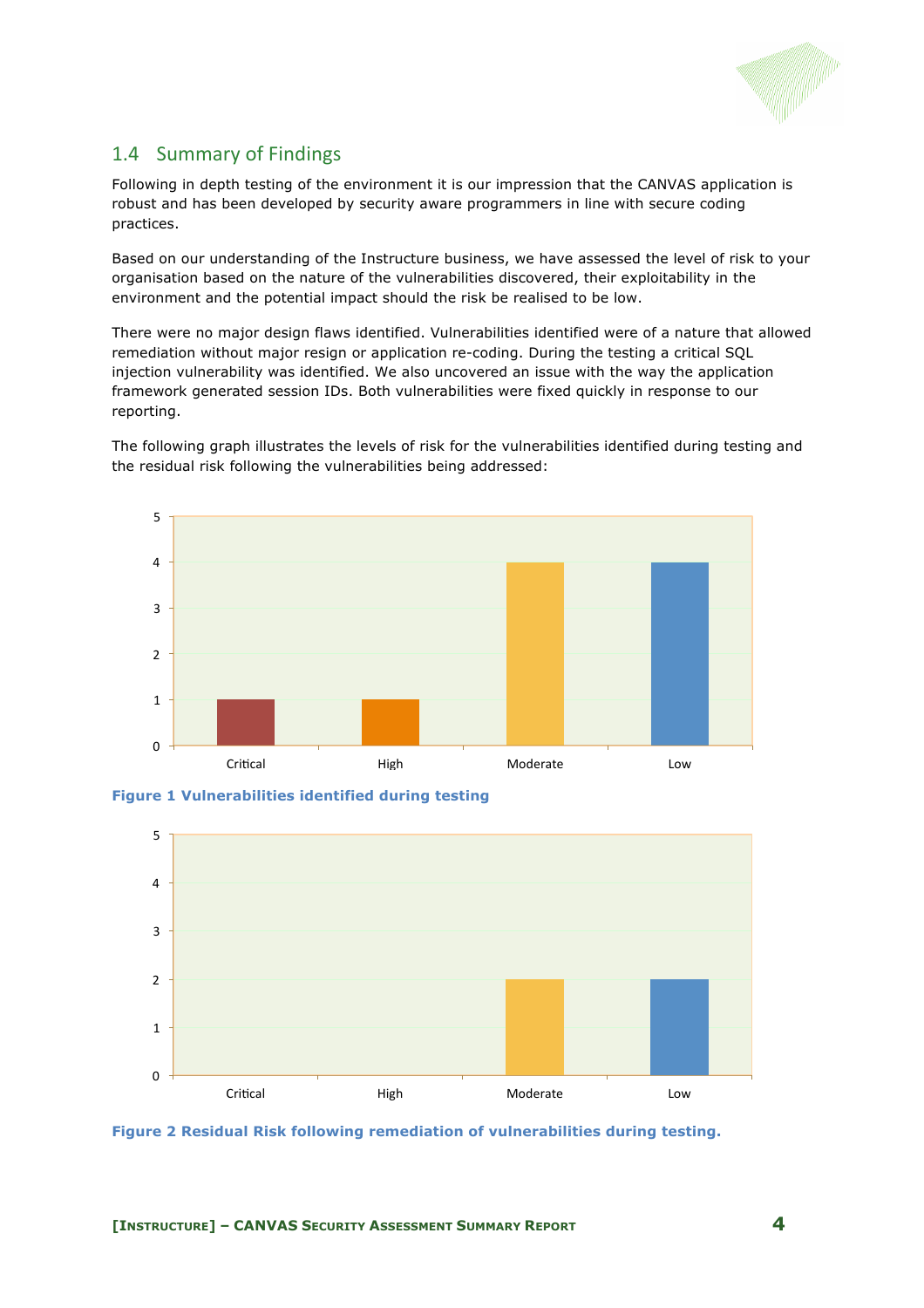

#### 1.4 Summary of Findings

Following in depth testing of the environment it is our impression that the CANVAS application is robust and has been developed by security aware programmers in line with secure coding practices.

Based on our understanding of the Instructure business, we have assessed the level of risk to your organisation based on the nature of the vulnerabilities discovered, their exploitability in the environment and the potential impact should the risk be realised to be low.

There were no major design flaws identified. Vulnerabilities identified were of a nature that allowed remediation without major resign or application re-coding. During the testing a critical SQL injection vulnerability was identified. We also uncovered an issue with the way the application framework generated session IDs. Both vulnerabilities were fixed quickly in response to our reporting.

The following graph illustrates the levels of risk for the vulnerabilities identified during testing and the residual risk following the vulnerabilities being addressed:



**Figure 1 Vulnerabilities identified during testing**



**Figure 2 Residual Risk following remediation of vulnerabilities during testing.**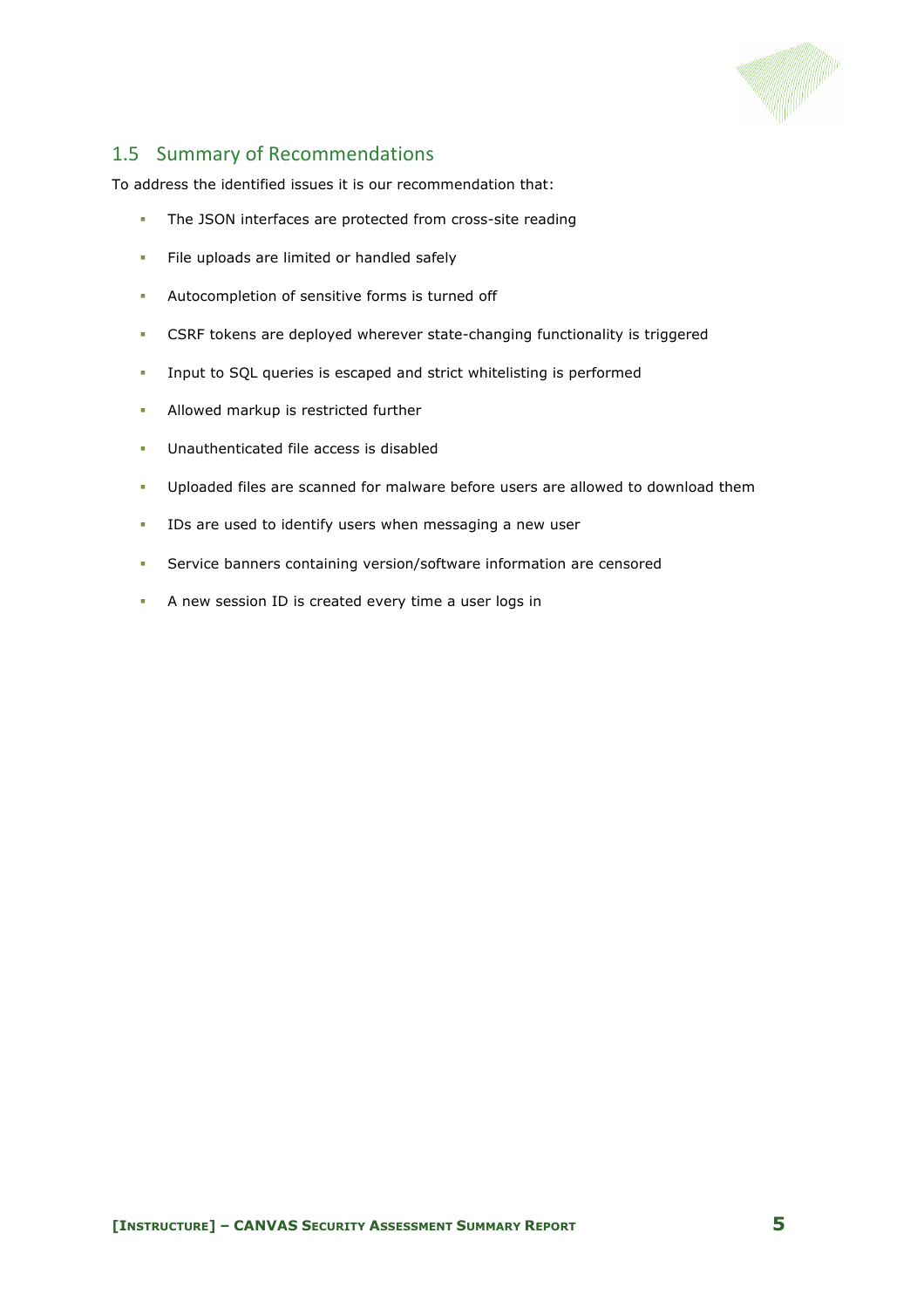

#### 1.5 Summary of Recommendations

To address the identified issues it is our recommendation that:

- ! The JSON interfaces are protected from cross-site reading
- **EXECUTE:** File uploads are limited or handled safely
- ! Autocompletion of sensitive forms is turned off
- ! CSRF tokens are deployed wherever state-changing functionality is triggered
- ! Input to SQL queries is escaped and strict whitelisting is performed
- **.** Allowed markup is restricted further
- ! Unauthenticated file access is disabled
- ! Uploaded files are scanned for malware before users are allowed to download them
- ! IDs are used to identify users when messaging a new user
- ! Service banners containing version/software information are censored
- ! A new session ID is created every time a user logs in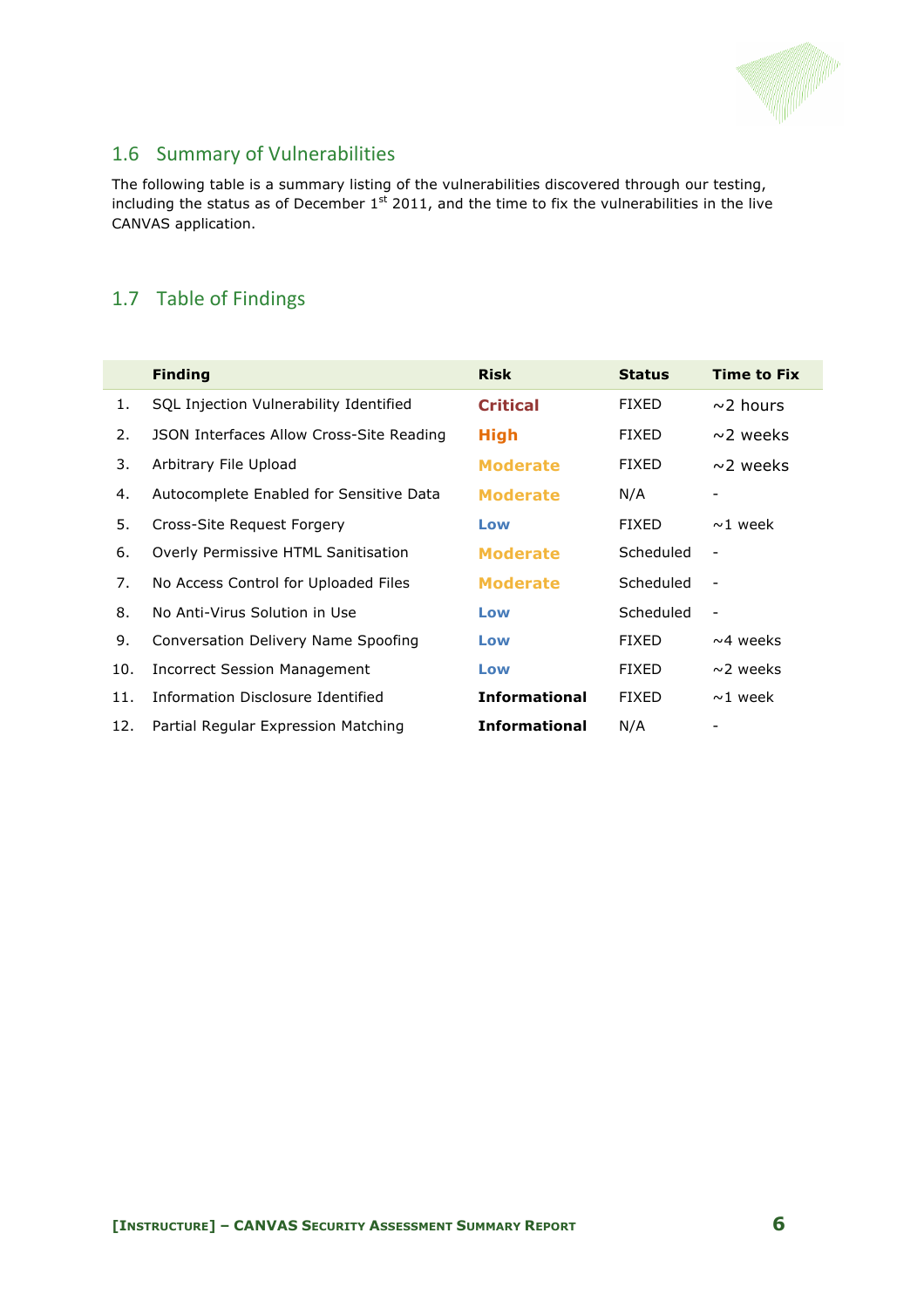

## 1.6 Summary of Vulnerabilities

The following table is a summary listing of the vulnerabilities discovered through our testing, including the status as of December  $1^{st}$  2011, and the time to fix the vulnerabilities in the live CANVAS application.

#### 1.7 Table of Findings

|     | <b>Finding</b>                           | <b>Risk</b>          | <b>Status</b> | <b>Time to Fix</b>       |
|-----|------------------------------------------|----------------------|---------------|--------------------------|
| 1.  | SQL Injection Vulnerability Identified   | <b>Critical</b>      | <b>FIXED</b>  | $\sim$ 2 hours           |
| 2.  | JSON Interfaces Allow Cross-Site Reading | <b>High</b>          | <b>FIXED</b>  | $\sim$ 2 weeks           |
| 3.  | Arbitrary File Upload                    | <b>Moderate</b>      | <b>FIXED</b>  | $\sim$ 2 weeks           |
| 4.  | Autocomplete Enabled for Sensitive Data  | <b>Moderate</b>      | N/A           |                          |
| 5.  | Cross-Site Request Forgery               | Low                  | <b>FIXED</b>  | $\sim$ 1 week            |
| 6.  | Overly Permissive HTML Sanitisation      | <b>Moderate</b>      | Scheduled     | $\overline{\phantom{0}}$ |
| 7.  | No Access Control for Uploaded Files     | <b>Moderate</b>      | Scheduled     | $\qquad \qquad -$        |
| 8.  | No Anti-Virus Solution in Use            | Low                  | Scheduled     | $\qquad \qquad -$        |
| 9.  | Conversation Delivery Name Spoofing      | Low                  | <b>FIXED</b>  | $~\sim$ 4 weeks          |
| 10. | <b>Incorrect Session Management</b>      | Low                  | <b>FIXED</b>  | $\sim$ 2 weeks           |
| 11. | Information Disclosure Identified        | <b>Informational</b> | <b>FIXED</b>  | $~1$ week                |
| 12. | Partial Regular Expression Matching      | <b>Informational</b> | N/A           |                          |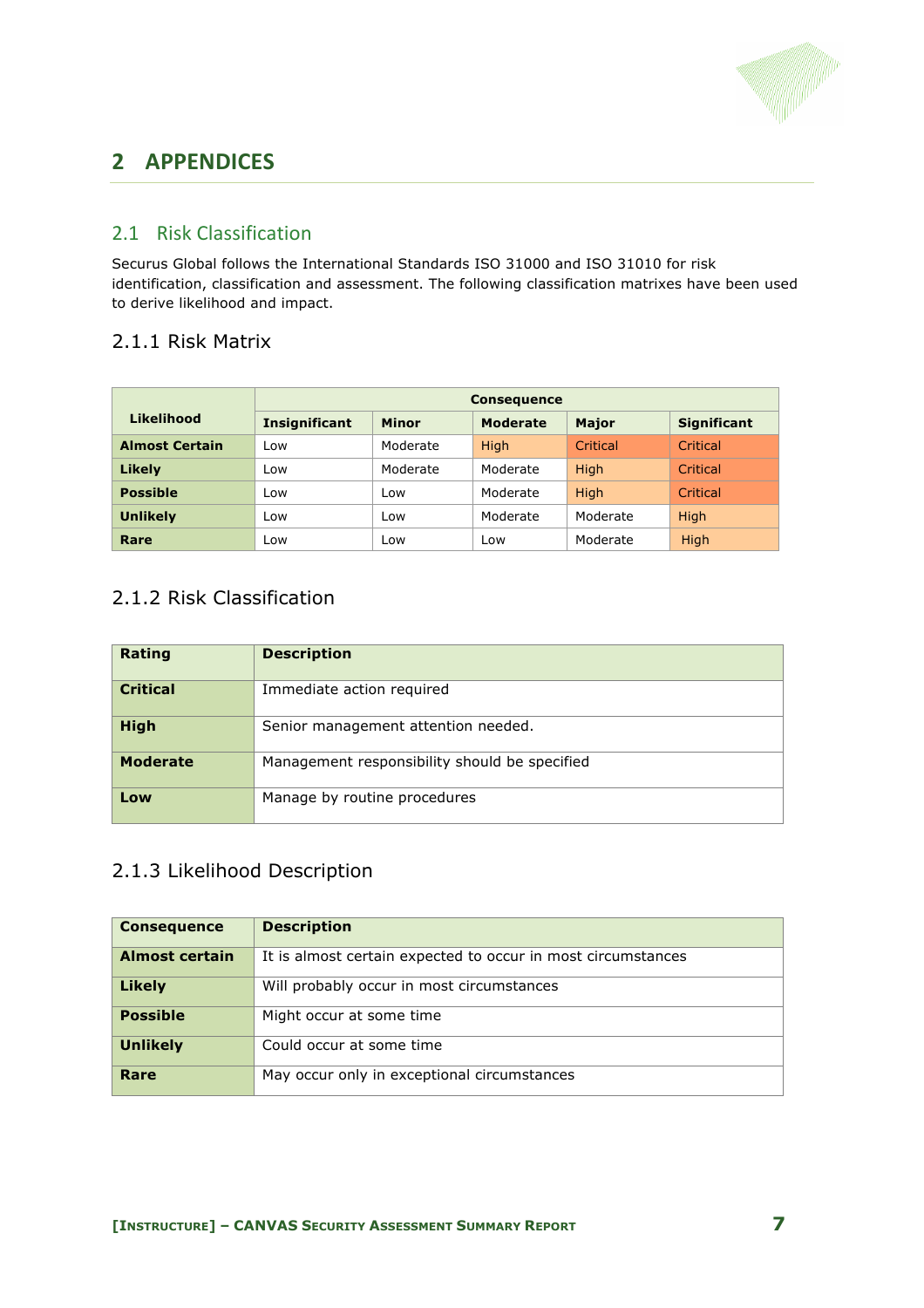

# **2 APPENDICES**

#### 2.1 Risk Classification

Securus Global follows the International Standards ISO 31000 and ISO 31010 for risk identification, classification and assessment. The following classification matrixes have been used to derive likelihood and impact.

#### 2.1.1 Risk Matrix

|                       | <b>Consequence</b>   |          |                 |              |                    |
|-----------------------|----------------------|----------|-----------------|--------------|--------------------|
| Likelihood            | <b>Insignificant</b> | Minor    | <b>Moderate</b> | <b>Major</b> | <b>Significant</b> |
| <b>Almost Certain</b> | Low                  | Moderate | High            | Critical     | Critical           |
| Likely                | Low                  | Moderate | Moderate        | High         | Critical           |
| <b>Possible</b>       | Low                  | Low      | Moderate        | High         | Critical           |
| <b>Unlikely</b>       | Low                  | Low      | Moderate        | Moderate     | High               |
| Rare                  | Low                  | Low      | Low             | Moderate     | <b>High</b>        |

#### 2.1.2 Risk Classification

| Rating          | <b>Description</b>                            |
|-----------------|-----------------------------------------------|
| <b>Critical</b> | Immediate action required                     |
| <b>High</b>     | Senior management attention needed.           |
| <b>Moderate</b> | Management responsibility should be specified |
| Low             | Manage by routine procedures                  |

## 2.1.3 Likelihood Description

| <b>Consequence</b> | <b>Description</b>                                           |
|--------------------|--------------------------------------------------------------|
| Almost certain     | It is almost certain expected to occur in most circumstances |
| <b>Likely</b>      | Will probably occur in most circumstances                    |
| <b>Possible</b>    | Might occur at some time                                     |
| <b>Unlikely</b>    | Could occur at some time                                     |
| Rare               | May occur only in exceptional circumstances                  |